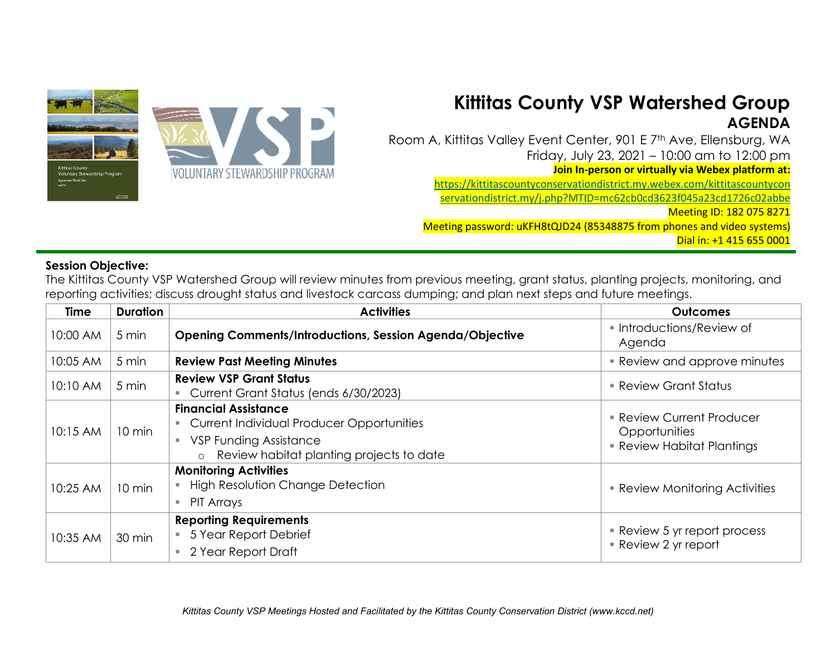

## **Kittitas County VSP Watershed Group AGENDA**

Room A, Kittitas Valley Event Center, 901 E 7<sup>th</sup> Ave, Ellensburg, WA Friday, July 23, 2021 – 10:00 am to 12:00 pm

**Join In-person or virtually via Webex platform at:** 

[https://kittitascountyconservationdistrict.my.webex.com/kittitascountycon](https://kittitascountyconservationdistrict.my.webex.com/kittitascountyconservationdistrict.my/j.php?MTID=mc62cb0cd3623f045a23cd1726c02abbe)

[servationdistrict.my/j.php?MTID=mc62cb0cd3623f045a23cd1726c02abbe](https://kittitascountyconservationdistrict.my.webex.com/kittitascountyconservationdistrict.my/j.php?MTID=mc62cb0cd3623f045a23cd1726c02abbe)

Meeting ID: 182 075 8271

Meeting password: uKFH8tQJD24 (85348875 from phones and video systems) Dial in: +1 415 655 0001

## **Session Objective:**

The Kittitas County VSP Watershed Group will review minutes from previous meeting, grant status, planting projects, monitoring, and reporting activities; discuss drought status and livestock carcass dumping; and plan next steps and future meetings.

| <b>Time</b> | <b>Duration</b> | <b>Activities</b>                                                                                                                                                       | <b>Outcomes</b>                                                                    |
|-------------|-----------------|-------------------------------------------------------------------------------------------------------------------------------------------------------------------------|------------------------------------------------------------------------------------|
| 10:00 AM    | 5 min           | <b>Opening Comments/Introductions, Session Agenda/Objective</b>                                                                                                         | Introductions/Review of<br>Agenda                                                  |
| 10:05 AM    | 5 min           | <b>Review Past Meeting Minutes</b>                                                                                                                                      | <b>Review and approve minutes</b>                                                  |
| 10:10 AM    | 5 min           | <b>Review VSP Grant Status</b><br>Current Grant Status (ends 6/30/2023)                                                                                                 | <b>Review Grant Status</b>                                                         |
| 10:15 AM    | 10 min          | <b>Financial Assistance</b><br><b>Current Individual Producer Opportunities</b><br><b>VSP Funding Assistance</b><br>Review habitat planting projects to date<br>$\circ$ | <b>Review Current Producer</b><br>Opportunities<br><b>Review Habitat Plantings</b> |
| 10:25 AM    | 10 min          | <b>Monitoring Activities</b><br><b>High Resolution Change Detection</b><br>PIT Arrays                                                                                   | <b>Review Monitoring Activities</b>                                                |
| 10:35 AM    | 30 min          | <b>Reporting Requirements</b><br>5 Year Report Debrief<br>2 Year Report Draft                                                                                           | • Review 5 yr report process<br>Review 2 yr report                                 |